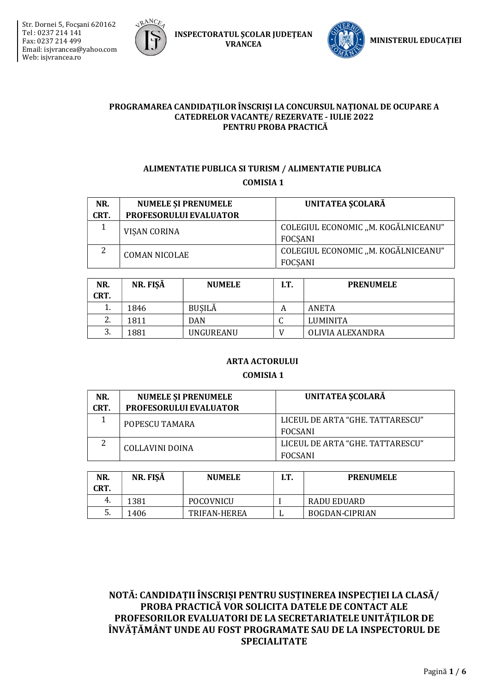



**INSPECTORATUL SCOLAR JUDETEAN VRANCEA** 



#### PROGRAMAREA CANDIDAȚILOR ÎNSCRIȘI LA CONCURSUL NAȚIONAL DE OCUPARE A **CATEDRELOR VACANTE/ REZERVATE - IULIE 2022** PENTRU PROBA PRACTICĂ

## ALIMENTATIE PUBLICA SI TURISM / ALIMENTATIE PUBLICA **COMISIA 1**

| NR.<br>CRT. | <b>NUMELE ȘI PRENUMELE</b><br>PROFESORULUI EVALUATOR | UNITATEA SCOLARĂ                                      |
|-------------|------------------------------------------------------|-------------------------------------------------------|
|             | VISAN CORINA                                         | COLEGIUL ECONOMIC "M. KOGĂLNICEANU"<br><b>FOCSANI</b> |
| 2           | <b>COMAN NICOLAE</b>                                 | COLEGIUL ECONOMIC "M. KOGĂLNICEANU"<br><b>FOCSANI</b> |

| NR.<br>CRT.               | NR. FISĂ | <b>NUMELE</b> | IT. | <b>PRENUMELE</b> |
|---------------------------|----------|---------------|-----|------------------|
|                           | 1846     | <b>BUSILĂ</b> | A   | ANETA            |
| $\mathcal{D}$<br><u>.</u> | 1811     | <b>DAN</b>    |     | <b>LUMINITA</b>  |
| 3.                        | 1881     | UNGUREANU     |     | OLIVIA ALEXANDRA |

### **ARTA ACTORULUI**

#### **COMISIA 1**

| NR.  | <b>NUMELE ȘI PRENUMELE</b>    | UNITATEA SCOLARĂ                 |  |
|------|-------------------------------|----------------------------------|--|
| CRT. | <b>PROFESORULUI EVALUATOR</b> |                                  |  |
|      | POPESCU TAMARA                | LICEUL DE ARTA "GHE. TATTARESCU" |  |
|      |                               | <b>FOCSANI</b>                   |  |
|      | COLLAVINI DOINA               | LICEUL DE ARTA "GHE TATTARESCU"  |  |
|      |                               | FOCSANI                          |  |

| NR.<br>CRT. | NR. FISĂ | <b>NUMELE</b> | I.T. | <b>PRENUMELE</b>      |
|-------------|----------|---------------|------|-----------------------|
| 4.          | 1381     | POCOVNICU     |      | RADU EDUARD           |
| J.          | 1406     | TRIFAN-HEREA  | .,   | <b>BOGDAN-CIPRIAN</b> |

NOTĂ: CANDIDAȚII ÎNSCRIȘI PENTRU SUSȚINEREA INSPECȚIEI LA CLASĂ/ PROBA PRACTICĂ VOR SOLICITA DATELE DE CONTACT ALE PROFESORILOR EVALUATORI DE LA SECRETARIATELE UNITĂTILOR DE ÎNVĂȚĂMÂNT UNDE AU FOST PROGRAMATE SAU DE LA INSPECTORUL DE **SPECIALITATE**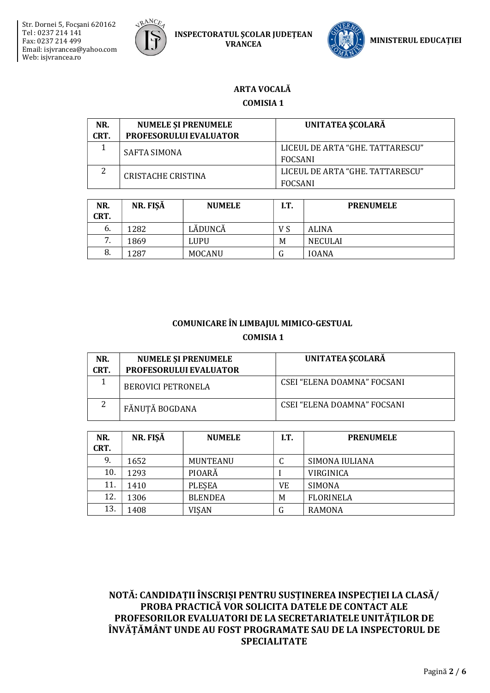

**INSPECTORATUL SCOLAR JUDETEAN VRANCEA** 



## **ARTA VOCALĂ**

**COMISIA 1** 

| NR.<br>CRT. | <b>NUMELE SI PRENUMELE</b><br><b>PROFESORULUI EVALUATOR</b> | UNITATEA SCOLARĂ                                   |
|-------------|-------------------------------------------------------------|----------------------------------------------------|
|             | SAFTA SIMONA                                                | LICEUL DE ARTA "GHE, TATTARESCU"<br><b>FOCSANI</b> |
| ▵           | CRISTACHE CRISTINA                                          | LICEUL DE ARTA "GHE, TATTARESCU"<br><b>FOCSANI</b> |

| NR.<br>CRT. | NR. FIŞĂ | <b>NUMELE</b> | I.T. | <b>PRENUMELE</b> |
|-------------|----------|---------------|------|------------------|
| 6.          | 1282     | LĂDUNCĂ       | V S  | <b>ALINA</b>     |
| 7           | 1869     | LUPU          | M    | NECULAI          |
| 8.          | 1287     | <b>MOCANU</b> | U    | <b>IOANA</b>     |

## COMUNICARE ÎN LIMBAJUL MIMICO-GESTUAL **COMISIA 1**

| NR.<br>CRT. | <b>NUMELE ȘI PRENUMELE</b><br><b>PROFESORULUI EVALUATOR</b> | <b>UNITATEA ȘCOLARĂ</b>     |
|-------------|-------------------------------------------------------------|-----------------------------|
|             | <b>BEROVICI PETRONELA</b>                                   | CSEI "ELENA DOAMNA" FOCSANI |
| っ           | FĂNUȚĂ BOGDANA                                              | CSEI "ELENA DOAMNA" FOCSANI |

| NR.<br>CRT. | NR. FIŞĂ | <b>NUMELE</b>   | I.T. | <b>PRENUMELE</b> |
|-------------|----------|-----------------|------|------------------|
| 9.          | 1652     | <b>MUNTEANU</b> | C    | SIMONA IULIANA   |
| 10.         | 1293     | PIOARĂ          |      | VIRGINICA        |
| 11.         | 1410     | <b>PLESEA</b>   | VE   | SIMONA           |
| 12.         | 1306     | <b>BLENDEA</b>  | M    | <b>FLORINELA</b> |
| 13.         | 1408     | <b>VISAN</b>    | G    | <b>RAMONA</b>    |

NOTĂ: CANDIDAȚII ÎNSCRIȘI PENTRU SUSȚINEREA INSPECȚIEI LA CLASĂ/ PROBA PRACTICĂ VOR SOLICITA DATELE DE CONTACT ALE PROFESORILOR EVALUATORI DE LA SECRETARIATELE UNITĂTILOR DE ÎNVĂȚĂMÂNT UNDE AU FOST PROGRAMATE SAU DE LA INSPECTORUL DE **SPECIALITATE**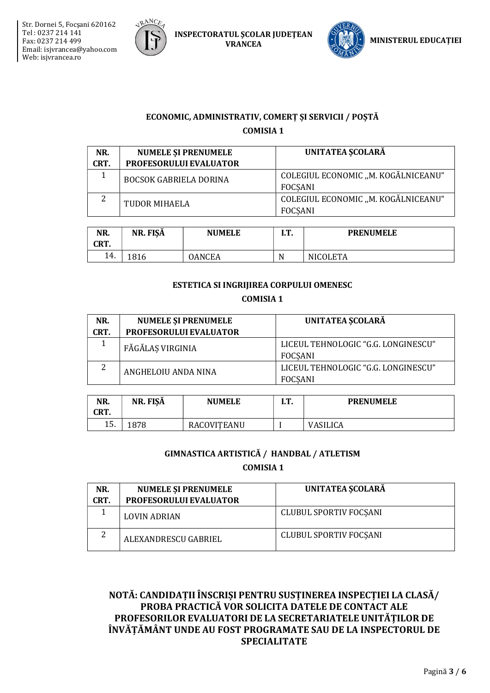

INSPECTORATUL ŞCOLAR JUDEŢEAN VRANCEA JUDEȚEAN (VERTICI) MINISTERUL EDUCAȚIEI



## ECONOMIC, ADMINISTRATIV, COMERȚ ȘI SERVICII / POȘTĂ COMISIA 1

| NR.<br>CRT. | <b>NUMELE SI PRENUMELE</b><br>PROFESORULUI EVALUATOR | <b>UNITATEA SCOLARĂ</b>                               |
|-------------|------------------------------------------------------|-------------------------------------------------------|
|             | <b>BOCSOK GABRIELA DORINA</b>                        | COLEGIUL ECONOMIC "M. KOGĂLNICEANU"<br><b>FOCSANI</b> |
| ำ           | TUDOR MIHAELA                                        | COLEGIUL ECONOMIC "M. KOGĂLNICEANU"<br><b>FOCSANI</b> |

| NR.<br>CRT. | NR. FISĂ    | <b>NUMELE</b> | r m<br>. | <b>PRENUMELE</b> |
|-------------|-------------|---------------|----------|------------------|
| 14.         | 016<br>1810 | OANCEA        | N        | <b>NICOLETA</b>  |

## ESTETICA SI INGRIJIREA CORPULUI OMENESC COMISIA 1

| NR.<br>CRT. | <b>NUMELE ȘI PRENUMELE</b><br>PROFESORULUI EVALUATOR | UNITATEA ȘCOLARĂ                                      |
|-------------|------------------------------------------------------|-------------------------------------------------------|
|             | FĂGĂLAS VIRGINIA                                     | LICEUL TEHNOLOGIC "G.G. LONGINESCU"<br><b>FOCSANI</b> |
| っ           | ANGHELOIU ANDA NINA                                  | LICEUL TEHNOLOGIC "G.G. LONGINESCU"<br><b>FOCSANI</b> |

| NR.<br>CRT. | NR. FISĂ | <b>NUMELE</b> | . | <b>PRENUMELE</b> |
|-------------|----------|---------------|---|------------------|
| 15.         | 1878     | RACOVITEANU   |   | <b>VASILICA</b>  |

### GIMNASTICA ARTISTICĂ / HANDBAL / ATLETISM

COMISIA 1

| NR.<br>CRT. | <b>NUMELE ȘI PRENUMELE</b><br><b>PROFESORULUI EVALUATOR</b> | <b>UNITATEA SCOLARĂ</b>       |
|-------------|-------------------------------------------------------------|-------------------------------|
|             | <b>LOVIN ADRIAN</b>                                         | <b>CLUBUL SPORTIV FOCSANI</b> |
| ∠           | ALEXANDRESCU GABRIEL                                        | <b>CLUBUL SPORTIV FOCSANI</b> |

## NOTĂ: CANDIDAȚII ÎNSCRIȘI PENTRU SUSȚINEREA INSPECȚIEI LA CLASĂ/ PROBA PRACTICĂ VOR SOLICITA DATELE DE CONTACT ALE PROFESORILOR EVALUATORI DE LA SECRETARIATELE UNITĂȚILOR DE ÎNVĂȚĂMÂNT UNDE AU FOST PROGRAMATE SAU DE LA INSPECTORUL DE SPECIALITATE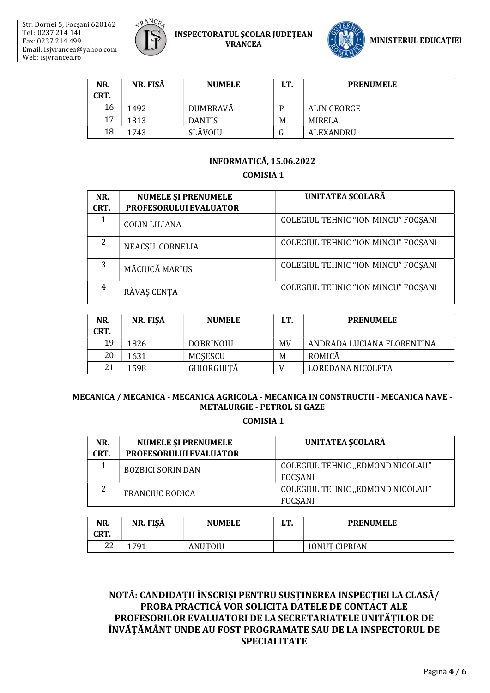

INSPECTORATUL ŞCOLAR JUDEŢEAN



| NR.  | NR. FISĂ | <b>NUMELE</b>   | I.T. | <b>PRENUMELE</b> |
|------|----------|-----------------|------|------------------|
| CRT. |          |                 |      |                  |
| 16.  | 1492     | <b>DUMBRAVĂ</b> | D    | ALIN GEORGE      |
| 17.  | 1313     | <b>DANTIS</b>   | M    | MIRELA           |
| 18.  | 1743     | SLĂVOIU         |      | ALEXANDRU        |

### INFORMATICĂ, 15.06.2022

COMISIA 1

| NR.<br>CRT.    | <b>NUMELE ȘI PRENUMELE</b><br>PROFESORULUI EVALUATOR | UNITATEA SCOLARĂ                    |
|----------------|------------------------------------------------------|-------------------------------------|
|                |                                                      |                                     |
| 1              | <b>COLIN LILIANA</b>                                 | COLEGIUL TEHNIC "ION MINCU" FOCSANI |
| 2              | NEACȘU CORNELIA                                      | COLEGIUL TEHNIC "ION MINCU" FOCSANI |
| 3              | MĂCIUCĂ MARIUS                                       | COLEGIUL TEHNIC "ION MINCU" FOCSANI |
| $\overline{4}$ | RĂVAȘ CENȚA                                          | COLEGIUL TEHNIC "ION MINCU" FOCSANI |

| NR.<br>CRT. | NR. FISĂ | <b>NUMELE</b>     | IT. | <b>PRENUMELE</b>           |
|-------------|----------|-------------------|-----|----------------------------|
| 19.         | 1826     | <b>DOBRINOIU</b>  | MV  | ANDRADA LUCIANA FLORENTINA |
| 20.         | 1631     | MOSESCU           | M   | ROMICĂ                     |
| 21          | 1598     | <b>GHIORGHITĂ</b> |     | LOREDANA NICOLETA          |

### MECANICA / MECANICA - MECANICA AGRICOLA - MECANICA IN CONSTRUCTII - MECANICA NAVE - METALURGIE - PETROL SI GAZE

COMISIA 1

| NR.  | <b>NUMELE ȘI PRENUMELE</b>    | <b>UNITATEA SCOLARĂ</b>                            |
|------|-------------------------------|----------------------------------------------------|
| CRT. | <b>PROFESORULUI EVALUATOR</b> |                                                    |
|      | <b>BOZBICI SORIN DAN</b>      | COLEGIUL TEHNIC "EDMOND NICOLAU"<br>FOCSANI        |
|      | <b>FRANCIUC RODICA</b>        | COLEGIUL TEHNIC "EDMOND NICOLAU"<br><b>FOCSANI</b> |

| NR.<br>CRT. | NR. FISĂ | <b>NUMELE</b> | חז<br>. | <b>PRENUMELE</b>     |
|-------------|----------|---------------|---------|----------------------|
| 22.         | 1791     | ANUTOIU       |         | <b>IONUT CIPRIAN</b> |

NOTĂ: CANDIDAȚII ÎNSCRIȘI PENTRU SUSȚINEREA INSPECȚIEI LA CLASĂ/ PROBA PRACTICĂ VOR SOLICITA DATELE DE CONTACT ALE PROFESORILOR EVALUATORI DE LA SECRETARIATELE UNITĂȚILOR DE ÎNVĂȚĂMÂNT UNDE AU FOST PROGRAMATE SAU DE LA INSPECTORUL DE SPECIALITATE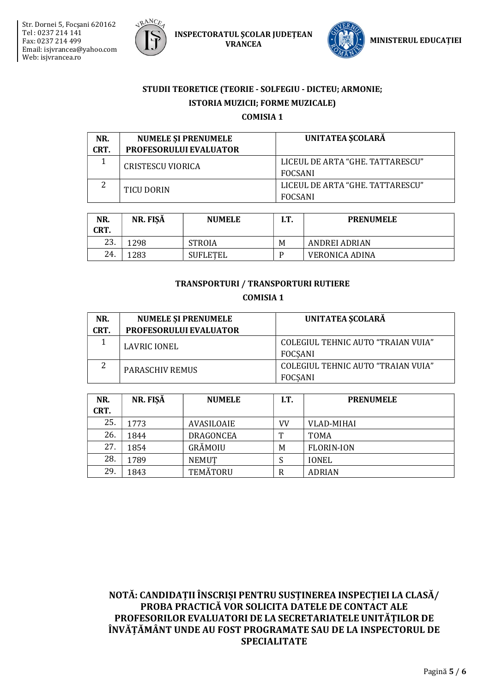

**INSPECTORATUL ȘCOLAR JUDETEAN VRANCEA** 



## STUDII TEORETICE (TEORIE - SOLFEGIU - DICTEU; ARMONIE; ISTORIA MUZICII; FORME MUZICALE) **COMISIA 1**

| NR.<br>CRT. | <b>NUMELE SI PRENUMELE</b><br><b>PROFESORULUI EVALUATOR</b> | <b>UNITATEA SCOLARĂ</b>                            |
|-------------|-------------------------------------------------------------|----------------------------------------------------|
|             | CRISTESCU VIORICA                                           | LICEUL DE ARTA "GHE, TATTARESCU"<br><b>FOCSANI</b> |
|             | TICU DORIN                                                  | LICEUL DE ARTA "GHE, TATTARESCU"<br><b>FOCSANI</b> |

| NR.<br>CRT. | NR. FISĂ | <b>NUMELE</b>   | I.T. | <b>PRENUMELE</b>      |
|-------------|----------|-----------------|------|-----------------------|
| 23.         | .298     | <b>STROIA</b>   | M    | ANDREI ADRIAN         |
| 24.         | .283     | <b>SUFLETEL</b> | D    | <b>VERONICA ADINA</b> |

### **TRANSPORTURI / TRANSPORTURI RUTIERE**

**COMISIA1** 

| NR.<br>CRT. | <b>NUMELE ȘI PRENUMELE</b><br><b>PROFESORULUI EVALUATOR</b> | <b>UNITATEA SCOLARĂ</b>                              |
|-------------|-------------------------------------------------------------|------------------------------------------------------|
|             | <b>LAVRIC IONEL</b>                                         | COLEGIUL TEHNIC AUTO "TRAIAN VUIA"<br>FOCSANI        |
|             | <b>PARASCHIV REMUS</b>                                      | COLEGIUL TEHNIC AUTO "TRAIAN VUIA"<br><b>FOCSANI</b> |

| NR.<br>CRT. | NR. FIŞĂ | <b>NUMELE</b>   | IT. | <b>PRENUMELE</b>  |
|-------------|----------|-----------------|-----|-------------------|
| 25.         | 1773     | AVASILOAIE      | VV  | <b>VLAD-MIHAI</b> |
| 26.         | 1844     | DRAGONCEA       | T   | <b>TOMA</b>       |
| 27.         | 1854     | GRĂMOIU         | M   | <b>FLORIN-ION</b> |
| 28.         | 1789     | <b>NEMUT</b>    | S   | <b>IONEL</b>      |
| 29.         | 1843     | <b>TEMĂTORU</b> | R   | <b>ADRIAN</b>     |

NOTĂ: CANDIDAȚII ÎNSCRIȘI PENTRU SUSȚINEREA INSPECȚIEI LA CLASĂ/ PROBA PRACTICĂ VOR SOLICITA DATELE DE CONTACT ALE PROFESORILOR EVALUATORI DE LA SECRETARIATELE UNITĂTILOR DE ÎNVĂȚĂMÂNT UNDE AU FOST PROGRAMATE SAU DE LA INSPECTORUL DE **SPECIALITATE**